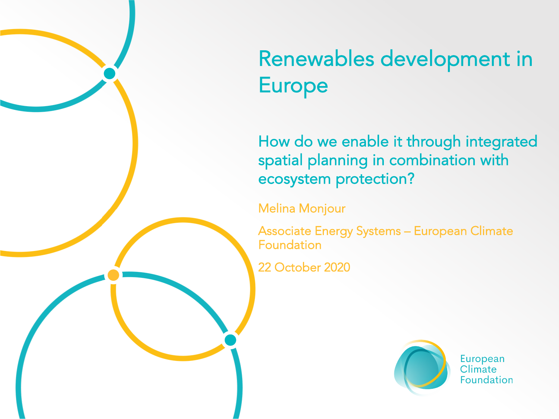

How do we enable it through integrated spatial planning in combination with ecosystem protection?

Melina Monjour

Associate Energy Systems – European Climate Foundation

22 October 2020



European Climate **Foundation**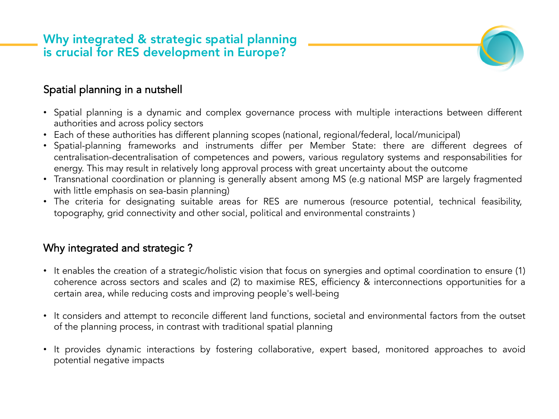# Why integrated & strategic spatial planning is crucial for RES development in Europe?



### Spatial planning in a nutshell

- Spatial planning is a dynamic and complex governance process with multiple interactions between different authorities and across policy sectors
- Each of these authorities has different planning scopes (national, regional/federal, local/municipal)
- Spatial-planning frameworks and instruments differ per Member State: there are different degrees of centralisation-decentralisation of competences and powers, various regulatory systems and responsabilities for energy. This may result in relatively long approval process with great uncertainty about the outcome
- Transnational coordination or planning is generally absent among MS (e.g national MSP are largely fragmented with little emphasis on sea-basin planning)
- The criteria for designating suitable areas for RES are numerous (resource potential, technical feasibility, topography, grid connectivity and other social, political and environmental constraints )

#### Why integrated and strategic ?

- It enables the creation of a strategic/holistic vision that focus on synergies and optimal coordination to ensure (1) coherence across sectors and scales and (2) to maximise RES, efficiency & interconnections opportunities for a certain area, while reducing costs and improving people's well-being
- It considers and attempt to reconcile different land functions, societal and environmental factors from the outset of the planning process, in contrast with traditional spatial planning
- It provides dynamic interactions by fostering collaborative, expert based, monitored approaches to avoid potential negative impacts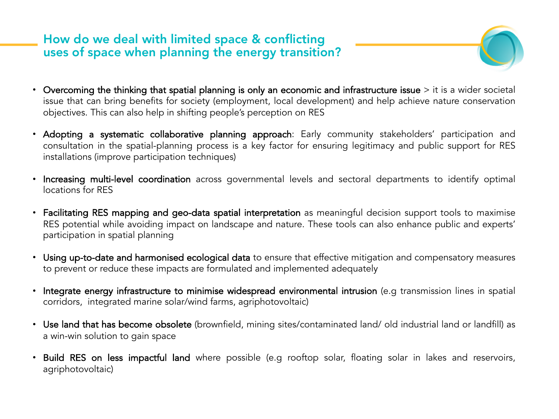## How do we deal with limited space & conflicting uses of space when planning the energy transition?

- 
- Overcoming the thinking that spatial planning is only an economic and infrastructure issue > it is a wider societal issue that can bring benefits for society (employment, local development) and help achieve nature conservation objectives. This can also help in shifting people's perception on RES
- Adopting a systematic collaborative planning approach: Early community stakeholders' participation and consultation in the spatial-planning process is a key factor for ensuring legitimacy and public support for RES installations (improve participation techniques)
- Increasing multi-level coordination across governmental levels and sectoral departments to identify optimal locations for RES
- Facilitating RES mapping and geo-data spatial interpretation as meaningful decision support tools to maximise RES potential while avoiding impact on landscape and nature. These tools can also enhance public and experts' participation in spatial planning
- Using up-to-date and harmonised ecological data to ensure that effective mitigation and compensatory measures to prevent or reduce these impacts are formulated and implemented adequately
- Integrate energy infrastructure to minimise widespread environmental intrusion (e.g transmission lines in spatial corridors, integrated marine solar/wind farms, agriphotovoltaic)
- Use land that has become obsolete (brownfield, mining sites/contaminated land/ old industrial land or landfill) as a win-win solution to gain space
- Build RES on less impactful land where possible (e.g rooftop solar, floating solar in lakes and reservoirs, agriphotovoltaic)